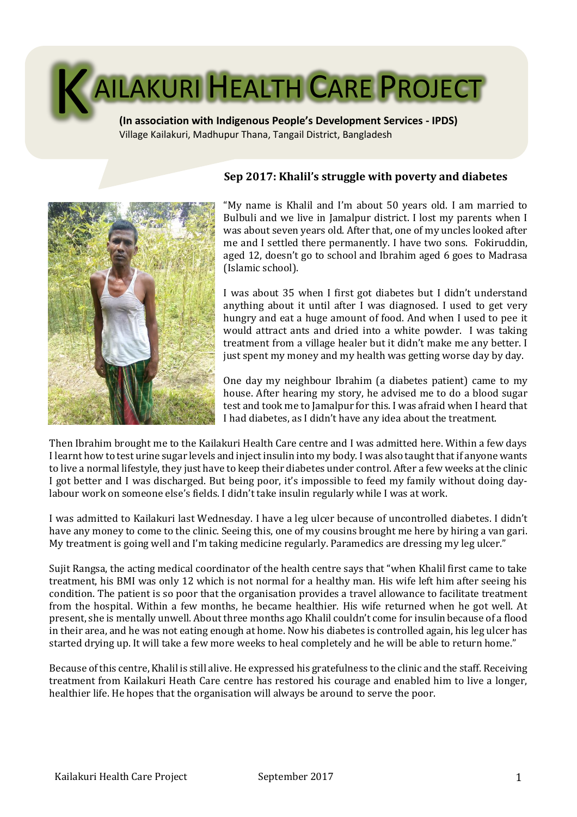

Village Kailakuri, Madhupur Thana, Tangail District, Bangladesh



# **Sep 2017: Khalil's struggle with poverty and diabetes**

"My name is Khalil and I'm about 50 years old. I am married to Bulbuli and we live in Jamalpur district. I lost my parents when I was about seven years old. After that, one of my uncles looked after me and I settled there permanently. I have two sons. Fokiruddin, aged 12, doesn't go to school and Ibrahim aged 6 goes to Madrasa (Islamic school).

I was about 35 when I first got diabetes but I didn't understand anything about it until after I was diagnosed. I used to get very hungry and eat a huge amount of food. And when I used to pee it would attract ants and dried into a white powder. I was taking treatment from a village healer but it didn't make me any better. I just spent my money and my health was getting worse day by day.

One day my neighbour Ibrahim (a diabetes patient) came to my house. After hearing my story, he advised me to do a blood sugar test and took me to Jamalpur for this. I was afraid when I heard that I had diabetes, as I didn't have any idea about the treatment.

Then Ibrahim brought me to the Kailakuri Health Care centre and I was admitted here. Within a few days I learnt how to test urine sugar levels and inject insulin into my body. I was also taught that if anyone wants to live a normal lifestyle, they just have to keep their diabetes under control. After a few weeks at the clinic I got better and I was discharged. But being poor, it's impossible to feed my family without doing daylabour work on someone else's fields. I didn't take insulin regularly while I was at work.

I was admitted to Kailakuri last Wednesday. I have a leg ulcer because of uncontrolled diabetes. I didn't have any money to come to the clinic. Seeing this, one of my cousins brought me here by hiring a van gari. My treatment is going well and I'm taking medicine regularly. Paramedics are dressing my leg ulcer."

Sujit Rangsa, the acting medical coordinator of the health centre says that "when Khalil first came to take treatment, his BMI was only 12 which is not normal for a healthy man. His wife left him after seeing his condition. The patient is so poor that the organisation provides a travel allowance to facilitate treatment from the hospital. Within a few months, he became healthier. His wife returned when he got well. At present, she is mentally unwell. About three months ago Khalil couldn't come for insulinbecause of a flood in their area, and he was not eating enough at home. Now his diabetes is controlled again, his leg ulcer has started drying up. It will take a few more weeks to heal completely and he will be able to return home."

Because of this centre, Khalil is still alive. He expressed his gratefulness to the clinic and the staff. Receiving treatment from Kailakuri Heath Care centre has restored his courage and enabled him to live a longer, healthier life. He hopes that the organisation will always be around to serve the poor.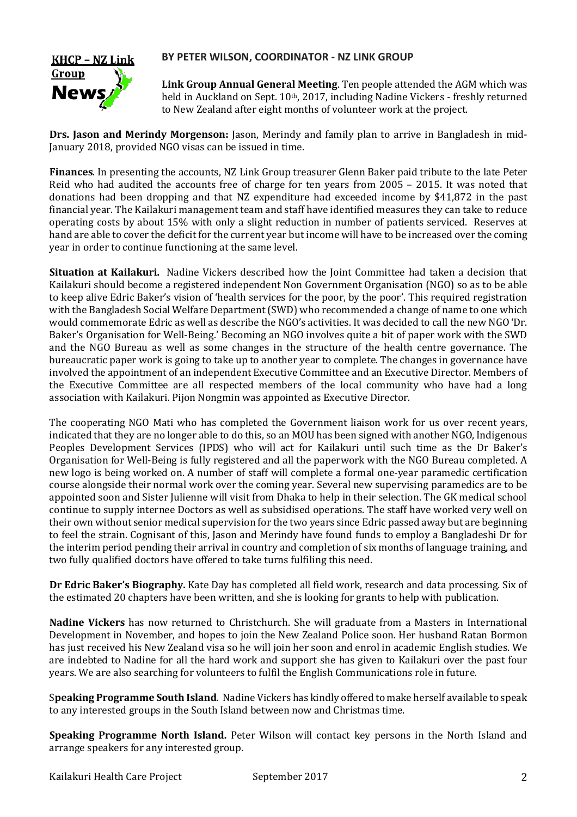## **BY PETER WILSON, COORDINATOR - NZ LINK GROUP**



**Link Group Annual General Meeting**. Ten people attended the AGM which was held in Auckland on Sept. 10<sup>th</sup>, 2017, including Nadine Vickers - freshly returned to New Zealand after eight months of volunteer work at the project.

**Drs. Jason and Merindy Morgenson:** Jason, Merindy and family plan to arrive in Bangladesh in mid-January 2018, provided NGO visas can be issued in time.

**Finances**. In presenting the accounts, NZ Link Group treasurer Glenn Baker paid tribute to the late Peter Reid who had audited the accounts free of charge for ten years from 2005 – 2015. It was noted that donations had been dropping and that NZ expenditure had exceeded income by \$41,872 in the past financial year. The Kailakuri management team and staff have identified measures they can take to reduce operating costs by about 15% with only a slight reduction in number of patients serviced. Reserves at hand are able to cover the deficit for the current year but income will have to be increased over the coming year in order to continue functioning at the same level.

**Situation at Kailakuri.** Nadine Vickers described how the Joint Committee had taken a decision that Kailakuri should become a registered independent Non Government Organisation (NGO) so as to be able to keep alive Edric Baker's vision of 'health services for the poor, by the poor'. This required registration with the Bangladesh Social Welfare Department (SWD) who recommended a change of name to one which would commemorate Edric as well as describe the NGO's activities. It was decided to call the new NGO 'Dr. Baker's Organisation for Well-Being.' Becoming an NGO involves quite a bit of paper work with the SWD and the NGO Bureau as well as some changes in the structure of the health centre governance. The bureaucratic paper work is going to take up to another year to complete. The changes in governance have involved the appointment of an independent Executive Committee and an Executive Director. Members of the Executive Committee are all respected members of the local community who have had a long association with Kailakuri. Pijon Nongmin was appointed as Executive Director.

The cooperating NGO Mati who has completed the Government liaison work for us over recent years, indicated that they are no longer able to do this, so an MOU has been signed with another NGO, Indigenous Peoples Development Services (IPDS) who will act for Kailakuri until such time as the Dr Baker's Organisation for Well-Being is fully registered and all the paperwork with the NGO Bureau completed. A new logo is being worked on. A number of staff will complete a formal one-year paramedic certification course alongside their normal work over the coming year. Several new supervising paramedics are to be appointed soon and Sister Julienne will visit from Dhaka to help in their selection. The GK medical school continue to supply internee Doctors as well as subsidised operations. The staff have worked very well on their own without senior medical supervision for the two years since Edric passed away but are beginning to feel the strain. Cognisant of this, Jason and Merindy have found funds to employ a Bangladeshi Dr for the interim period pending their arrival in country and completion of six months of language training, and two fully qualified doctors have offered to take turns fulfiling this need.

**Dr Edric Baker's Biography.** Kate Day has completed all field work, research and data processing. Six of the estimated 20 chapters have been written, and she is looking for grants to help with publication.

**Nadine Vickers** has now returned to Christchurch. She will graduate from a Masters in International Development in November, and hopes to join the New Zealand Police soon. Her husband Ratan Bormon has just received his New Zealand visa so he will join her soon and enrol in academic English studies. We are indebted to Nadine for all the hard work and support she has given to Kailakuri over the past four years. We are also searching for volunteers to fulfil the English Communications role in future.

S**peaking Programme South Island**. Nadine Vickers has kindly offered to make herself available to speak to any interested groups in the South Island between now and Christmas time.

**Speaking Programme North Island.** Peter Wilson will contact key persons in the North Island and arrange speakers for any interested group.